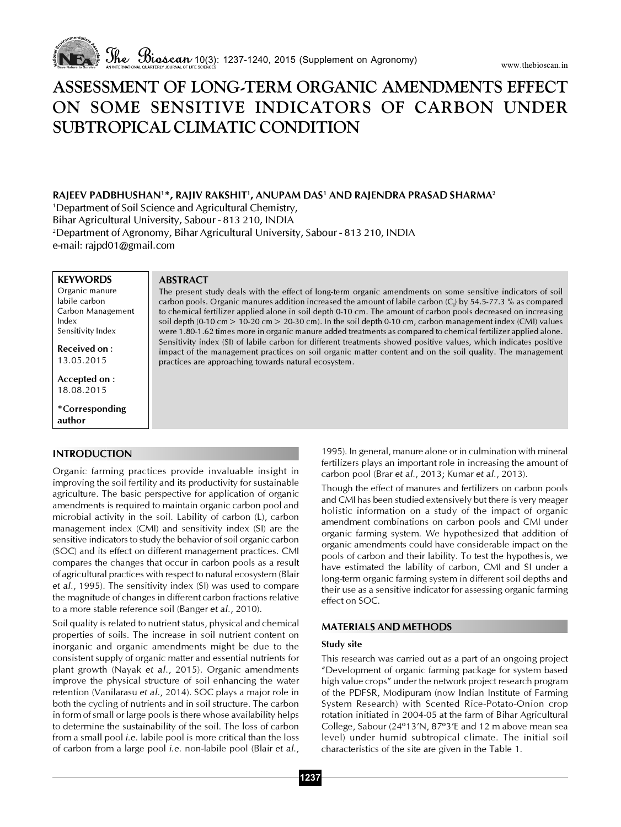

# ASSESSMENT OF LONG-TERM ORGANIC AMENDMENTS EFFECT ON SOME SENSITIVE INDICATORS OF CARBON UNDER SUBTROPICAL CLIMATIC CONDITION

## RAJEEV PADBHUSHAN'\*, RAJIV RAKSHIT', ANUPAM DAS' AND RAJENDRA PRASAD SHARMA<del>'</del>

1 Department of Soil Science and Agricultural Chemistry,

ABSTRACT

Bihar Agricultural University, Sabour - 813 210, INDIA

2 Department of Agronomy, Bihar Agricultural University, Sabour - 813 210, INDIA e-mail: rajpd01@gmail.com

practices are approaching towards natural ecosystem.

**KEYWORDS** Organic manure labile carbon Carbon Management Index Sensitivity Index

Received on : 13.05.2015

Accepted on : 18.08.2015

\*Corresponding author

## INTRODUCTION

Organic farming practices provide invaluable insight in improving the soil fertility and its productivity for sustainable agriculture. The basic perspective for application of organic amendments is required to maintain organic carbon pool and microbial activity in the soil. Lability of carbon (L), carbon management index (CMI) and sensitivity index (SI) are the sensitive indicators to study the behavior of soil organic carbon (SOC) and its effect on different management practices. CMI compares the changes that occur in carbon pools as a result of agricultural practices with respect to natural ecosystem (Blair et al., 1995). The sensitivity index (SI) was used to compare the magnitude of changes in different carbon fractions relative to a more stable reference soil (Banger et al., 2010).

Soil quality is related to nutrient status, physical and chemical properties of soils. The increase in soil nutrient content on inorganic and organic amendments might be due to the consistent supply of organic matter and essential nutrients for plant growth (Nayak et al., 2015). Organic amendments improve the physical structure of soil enhancing the water retention (Vanilarasu et al., 2014). SOC plays a major role in both the cycling of nutrients and in soil structure. The carbon in form of small or large pools is there whose availability helps to determine the sustainability of the soil. The loss of carbon from a small pool i.e. labile pool is more critical than the loss of carbon from a large pool i.e. non-labile pool (Blair et al.,

carbon pools. Organic manures addition increased the amount of labile carbon (C<sub>l</sub>) by 54.5-77.3 % as compared to chemical fertilizer applied alone in soil depth 0-10 cm. The amount of carbon pools decreased on increasing soil depth (0-10 cm > 10-20 cm > 20-30 cm). In the soil depth 0-10 cm, carbon management index (CMI) values were 1.80-1.62 times more in organic manure added treatments as compared to chemical fertilizer applied alone. Sensitivity index (SI) of labile carbon for different treatments showed positive values, which indicates positive impact of the management practices on soil organic matter content and on the soil quality. The management

The present study deals with the effect of long-term organic amendments on some sensitive indicators of soil

1995). In general, manure alone or in culmination with mineral fertilizers plays an important role in increasing the amount of carbon pool (Brar et al., 2013; Kumar et al., 2013).

Though the effect of manures and fertilizers on carbon pools and CMI has been studied extensively but there is very meager holistic information on a study of the impact of organic amendment combinations on carbon pools and CMI under organic farming system. We hypothesized that addition of organic amendments could have considerable impact on the pools of carbon and their lability. To test the hypothesis, we have estimated the lability of carbon, CMI and SI under a long-term organic farming system in different soil depths and their use as a sensitive indicator for assessing organic farming effect on SOC.

# MATERIALS AND METHODS

## Study site

This research was carried out as a part of an ongoing project "Development of organic farming package for system based high value crops" under the network project research program of the PDFSR, Modipuram (now Indian Institute of Farming System Research) with Scented Rice-Potato-Onion crop rotation initiated in 2004-05 at the farm of Bihar Agricultural College, Sabour (24º13'N, 87º3'E and 12 m above mean sea level) under humid subtropical climate. The initial soil characteristics of the site are given in the Table 1.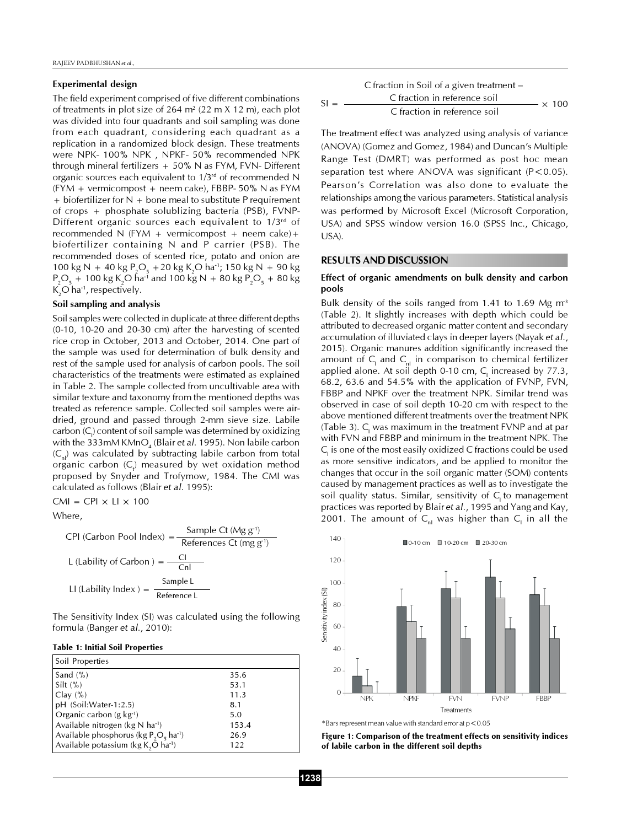#### Experimental design

The field experiment comprised of five different combinations of treatments in plot size of 264  $m^2$  (22 m X 12 m), each plot was divided into four quadrants and soil sampling was done from each quadrant, considering each quadrant as a replication in a randomized block design. These treatments were NPK- 100% NPK , NPKF- 50% recommended NPK through mineral fertilizers  $+50\%$  N as FYM, FVN-Different organic sources each equivalent to 1/3rd of recommended N  $(FYM + vermicompost + neem cake)$ , FBBP- 50% N as FYM  $+$  biofertilizer for N  $+$  bone meal to substitute P requirement of crops + phosphate solublizing bacteria (PSB), FVNP-Different organic sources each equivalent to 1/3rd of recommended N (FYM + vermicompost + neem cake) + biofertilizer containing N and P carrier (PSB). The recommended doses of scented rice, potato and onion are 100 kg N + 40 kg P<sub>2</sub>O<sub>5</sub> + 20 kg K<sub>2</sub>O ha<sup>-1</sup>; 150 kg N + 90 kg  $P_2O_5 + 100$  kg K<sub>2</sub>O ha<sup>-1</sup> and 100 kg N + 80 kg  $P_2O_5 + 80$  kg  $K_2$ O ha<sup>-1</sup>, respectively.

#### Soil sampling and analysis

Soil samples were collected in duplicate at three different depths (0-10, 10-20 and 20-30 cm) after the harvesting of scented rice crop in October, 2013 and October, 2014. One part of the sample was used for determination of bulk density and rest of the sample used for analysis of carbon pools. The soil characteristics of the treatments were estimated as explained in Table 2. The sample collected from uncultivable area with similar texture and taxonomy from the mentioned depths was treated as reference sample. Collected soil samples were airdried, ground and passed through 2-mm sieve size. Labile  $\mathsf{carbon}\left( \mathsf{C}_{\mathsf{I}} \right)$  content of soil sample was determined by oxidizing with the 333mM KMnO $\rm _{4}$  (Blair et al. 1995). Non labile carbon  $(C_n)$  was calculated by subtracting labile carbon from total organic carbon (C<sub>t</sub>) measured by wet oxidation method proposed by Snyder and Trofymow, 1984. The CMI was calculated as follows (Blair et al. 1995):

CMI = CPI  $\times$  LI  $\times$  100

Where,

$$
CPI (Carbon Pool Index) = \frac{Sample Ct (Mg g-1)}{Reference Ct (mg g-1)}
$$
  
L (Lability of Carbon) = 
$$
\frac{Cl}{Cnl}
$$
  
Ll (Lability Index) = 
$$
\frac{Sample L}{Reference L}
$$

The Sensitivity Index (SI) was calculated using the following formula (Banger et al., 2010):

#### Table 1: Initial Soil Properties

| Soil Properties                                      |       |
|------------------------------------------------------|-------|
| Sand $(\% )$                                         | 35.6  |
| Silt $(\% )$                                         | 53.1  |
| Clav(%)                                              | 11.3  |
| pH (Soil: Water-1:2.5)                               | 8.1   |
| Organic carbon (g $kg1$ )                            | 5.0   |
| Available nitrogen (kg N ha-1)                       | 153.4 |
| Available phosphorus (kg $P_2O_5$ ha <sup>-1</sup> ) | 26.9  |
| Available potassium ( $kg K2O ha-1$ )                | 122   |

$$
SI = \frac{C \text{ fraction in Solid of a given treatment} -}{C \text{ fraction in reference soil}} \times 100
$$

The treatment effect was analyzed using analysis of variance (ANOVA) (Gomez and Gomez, 1984) and Duncan's Multiple Range Test (DMRT) was performed as post hoc mean separation test where ANOVA was significant (P<0.05). Pearson's Correlation was also done to evaluate the relationships among the various parameters. Statistical analysis was performed by Microsoft Excel (Microsoft Corporation, USA) and SPSS window version 16.0 (SPSS Inc., Chicago, USA).

#### RESULTS AND DISCUSSION

#### Effect of organic amendments on bulk density and carbon pools

Bulk density of the soils ranged from 1.41 to 1.69 Mg  $m<sup>3</sup>$ (Table 2). It slightly increases with depth which could be attributed to decreased organic matter content and secondary accumulation of illuviated clays in deeper layers (Nayak et al., 2015). Organic manures addition significantly increased the amount of  $C_{1}$  and  $C_{nl}$  in comparison to chemical fertilizer applied alone. At soil depth 0-10 cm,  $C_{\!\scriptscriptstyle 1}$  increased by 77.3, 68.2, 63.6 and 54.5% with the application of FVNP, FVN, FBBP and NPKF over the treatment NPK. Similar trend was observed in case of soil depth 10-20 cm with respect to the above mentioned different treatments over the treatment NPK (Table 3).  $C_{\text{I}}$  was maximum in the treatment FVNP and at par with FVN and FBBP and minimum in the treatment NPK. The  $\mathsf{C}_\mathsf{l}$  is one of the most easily oxidized C fractions could be used as more sensitive indicators, and be applied to monitor the changes that occur in the soil organic matter (SOM) contents caused by management practices as well as to investigate the soil quality status. Similar, sensitivity of C<sub>r</sub> to management practices was reported by Blair et al., 1995 and Yang and Kay, 2001. The amount of  $C_{nl}$  was higher than  $C_{l}$  in all the



\*Bars represent mean value with standard error at p<0.05

Figure 1: Comparison of the treatment effects on sensitivity indices of labile carbon in the different soil depths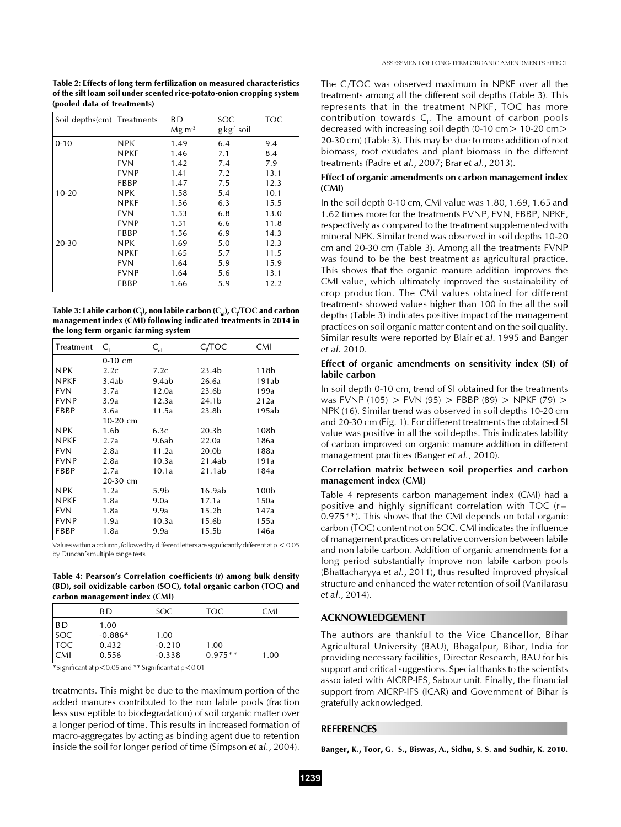Table 2: Effects of long term fertilization on measured characteristics of the silt loam soil under scented rice-potato-onion cropping system (pooled data of treatments)

| Soil depths(cm) Treatments |             | BD.<br>$Mg \, \text{m}^{-3}$ | SOC<br>$g$ kg <sup>-1</sup> soil | TOC  |
|----------------------------|-------------|------------------------------|----------------------------------|------|
| $0 - 10$                   | NPK         | 1.49                         | 6.4                              | 9.4  |
|                            | <b>NPKF</b> | 1.46                         | 7.1                              | 8.4  |
|                            | FVN         | 1.42                         | 7.4                              | 7.9  |
|                            | <b>FVNP</b> | 1.41                         | 7.2                              | 13.1 |
|                            | FBBP        | 1.47                         | 7.5                              | 12.3 |
| $10 - 20$                  | NPK         | 1.58                         | 5.4                              | 10.1 |
|                            | <b>NPKF</b> | 1.56                         | 6.3                              | 15.5 |
|                            | <b>FVN</b>  | 1.53                         | 6.8                              | 13.0 |
|                            | <b>FVNP</b> | 1.51                         | 6.6                              | 11.8 |
|                            | FBBP        | 1.56                         | 6.9                              | 14.3 |
| $20 - 30$                  | NPK         | 1.69                         | 5.0                              | 12.3 |
|                            | <b>NPKF</b> | 1.65                         | 5.7                              | 11.5 |
|                            | <b>FVN</b>  | 1.64                         | 5.9                              | 15.9 |
|                            | FVNP        | 1.64                         | 5.6                              | 13.1 |
|                            | FBBP        | 1.66                         | 5.9                              | 12.2 |

Table 3: Labile carbon (C<sub>)</sub>, non labile carbon (C<sub>n</sub>), C<sub>I</sub>/TOC and carbon management index (CMI) following indicated treatments in 2014 in the long term organic farming system

| Treatment   | C,         | $C_{\eta l}$     | C/TOC             | CMI              |
|-------------|------------|------------------|-------------------|------------------|
|             | $0-10$ cm  |                  |                   |                  |
| <b>NPK</b>  | 2.2c       | 7.2c             | 23.4b             | 118 <sub>b</sub> |
| <b>NPKF</b> | 3.4ab      | 9.4ab            | 26.6a             | 191ab            |
| <b>FVN</b>  | 3.7a       | 12.0a            | 23.6b             | 199a             |
| <b>FVNP</b> | 3.9a       | 12.3a            | 24.1 <sub>b</sub> | 212a             |
| FBBP        | 3.6a       | 11.5a            | 23.8b             | 195ab            |
|             | 10-20 cm   |                  |                   |                  |
| <b>NPK</b>  | 1.6b       | 6.3c             | 20.3 <sub>b</sub> | 108b             |
| <b>NPKF</b> | 2.7a       | 9.6ab            | 22.0a             | 186a             |
| <b>FVN</b>  | 2.8a       | 11.2a            | 20.0b             | 188a             |
| <b>FVNP</b> | 2.8a       | 10.3a            | 21.4ab            | 191a             |
| <b>FBBP</b> | 2.7a       | 10.1a            | 21.1ab            | 184a             |
|             | $20-30$ cm |                  |                   |                  |
| <b>NPK</b>  | 1.2a       | 5.9 <sub>b</sub> | 16.9ab            | 100b             |
| <b>NPKF</b> | 1.8a       | 9.0a             | 17.1a             | 150a             |
| <b>FVN</b>  | 1.8a       | 9.9a             | 15.2b             | 147a             |
| <b>FVNP</b> | 1.9a       | 10.3a            | 15.6b             | 155a             |
| FBBP        | 1.8a       | 9.9a             | 15.5b             | 146a             |
|             |            |                  |                   |                  |

Values within a column, followed by different letters are significantly different at  $p < 0.05$ by Duncan's multiple range tests.

Table 4: Pearson's Correlation coefficients (r) among bulk density (BD), soil oxidizable carbon (SOC), total organic carbon (TOC) and carbon management index (CMI)

|            | . .       |          |           |      |
|------------|-----------|----------|-----------|------|
|            | BD.       | SOC.     | TOC       | CMI  |
| BD         | 1.00      |          |           |      |
| soc        | $-0.886*$ | 1.00     |           |      |
| <b>TOC</b> | 0.432     | $-0.210$ | 1.00      |      |
| l CMI      | 0.556     | $-0.338$ | $0.975**$ | 1.00 |

\*Significant at  $p < 0.05$  and \*\* Significant at  $p < 0.01$ 

treatments. This might be due to the maximum portion of the added manures contributed to the non labile pools (fraction less susceptible to biodegradation) of soil organic matter over a longer period of time. This results in increased formation of macro-aggregates by acting as binding agent due to retention inside the soil for longer period of time (Simpson et al., 2004). The  $C/TOC$  was observed maximum in NPKF over all the treatments among all the different soil depths (Table 3). This represents that in the treatment NPKF, TOC has more contribution towards C<sub>1</sub>. The amount of carbon pools decreased with increasing soil depth (0-10 cm> 10-20 cm> 20-30 cm) (Table 3). This may be due to more addition of root biomass, root exudates and plant biomass in the different treatments (Padre et al., 2007; Brar et al., 2013).

#### Effect of organic amendments on carbon management index (CMI)

In the soil depth 0-10 cm, CMI value was 1.80, 1.69, 1.65 and 1.62 times more for the treatments FVNP, FVN, FBBP, NPKF, respectively as compared to the treatment supplemented with mineral NPK. Similar trend was observed in soil depths 10-20 cm and 20-30 cm (Table 3). Among all the treatments FVNP was found to be the best treatment as agricultural practice. This shows that the organic manure addition improves the CMI value, which ultimately improved the sustainability of crop production. The CMI values obtained for different treatments showed values higher than 100 in the all the soil depths (Table 3) indicates positive impact of the management practices on soil organic matter content and on the soil quality. Similar results were reported by Blair et al. 1995 and Banger et al. 2010.

#### Effect of organic amendments on sensitivity index (SI) of labile carbon

In soil depth 0-10 cm, trend of SI obtained for the treatments was FVNP (105) > FVN (95) > FBBP (89) > NPKF (79) > NPK (16). Similar trend was observed in soil depths 10-20 cm and 20-30 cm (Fig. 1). For different treatments the obtained SI value was positive in all the soil depths. This indicates lability of carbon improved on organic manure addition in different management practices (Banger et al., 2010).

### Correlation matrix between soil properties and carbon management index (CMI)

Table 4 represents carbon management index (CMI) had a positive and highly significant correlation with TOC (r= 0.975\*\*). This shows that the CMI depends on total organic carbon (TOC) content not on SOC. CMI indicates the influence of management practices on relative conversion between labile and non labile carbon. Addition of organic amendments for a long period substantially improve non labile carbon pools (Bhattacharyya et al., 2011), thus resulted improved physical structure and enhanced the water retention of soil (Vanilarasu et al., 2014).

## ACKNOWLEDGEMENT

The authors are thankful to the Vice Chancellor, Bihar Agricultural University (BAU), Bhagalpur, Bihar, India for providing necessary facilities, Director Research, BAU for his support and critical suggestions. Special thanks to the scientists associated with AICRP-IFS, Sabour unit. Finally, the financial support from AICRP-IFS (ICAR) and Government of Bihar is gratefully acknowledged.

#### **REFERENCES**

Banger, K., Toor, G. S., Biswas, A., Sidhu, S. S. and Sudhir, K. 2010.